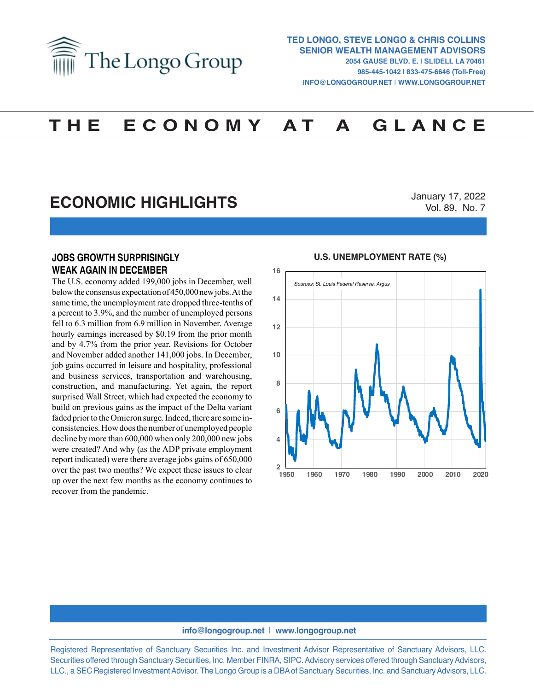

# **T H E E C O N O M Y A T A G L A N C E**

# **ECONOMIC HIGHLIGHTS**

January 17, 2022 Vol. 89, No. 7

### **JOBS GROWTH SURPRISINGLY WEAK AGAIN IN DECEMBER**

The U.S. economy added 199,000 jobs in December, well below the consensus expectation of 450,000 new jobs. At the same time, the unemployment rate dropped three-tenths of a percent to 3.9%, and the number of unemployed persons fell to 6.3 million from 6.9 million in November. Average hourly earnings increased by \$0.19 from the prior month and by 4.7% from the prior year. Revisions for October and November added another 141,000 jobs. In December, job gains occurred in leisure and hospitality, professional and business services, transportation and warehousing, construction, and manufacturing. Yet again, the report surprised Wall Street, which had expected the economy to build on previous gains as the impact of the Delta variant faded prior to the Omicron surge. Indeed, there are some inconsistencies. How does the number of unemployed people decline by more than 600,000 when only 200,000 new jobs were created? And why (as the ADP private employment report indicated) were there average jobs gains of 650,000 over the past two months? We expect these issues to clear up over the next few months as the economy continues to recover from the pandemic.

#### **U.S. UNEMPLOYMENT RATE (%) U.S. UNEMPLOYMENT RATE (%)**



#### **info@longogroup.net** | **www.longogroup.net**

Registered Representative of Sanctuary Securities Inc. and Investment Advisor Representative of Sanctuary Advisors, LLC. Securities offered through Sanctuary Securities, Inc. Member FINRA, SIPC. Advisory services offered through Sanctuary Advisors, LLC., a SEC Registered Investment Advisor. The Longo Group is a DBA of Sanctuary Securities, Inc. and Sanctuary Advisors, LLC.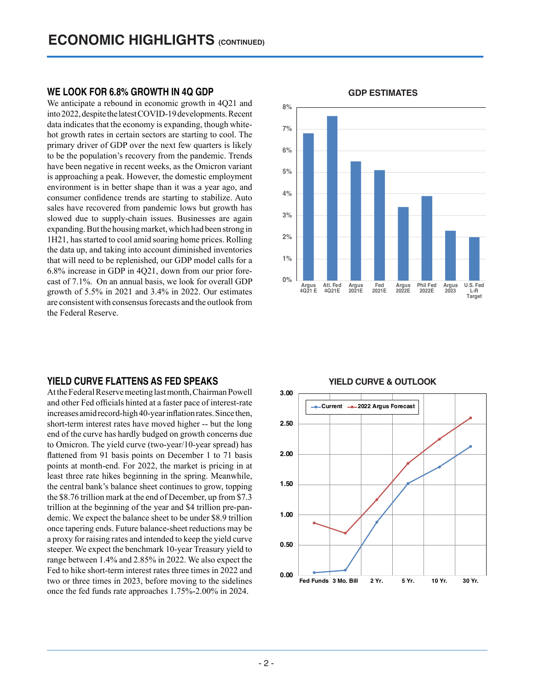#### **WE LOOK FOR 6.8% GROWTH IN 4Q GDP**

We anticipate a rebound in economic growth in 4Q21 and into 2022, despite the latest COVID-19 developments. Recent data indicates that the economy is expanding, though whitehot growth rates in certain sectors are starting to cool. The primary driver of GDP over the next few quarters is likely to be the population's recovery from the pandemic. Trends have been negative in recent weeks, as the Omicron variant is approaching a peak. However, the domestic employment environment is in better shape than it was a year ago, and consumer confidence trends are starting to stabilize. Auto sales have recovered from pandemic lows but growth has slowed due to supply-chain issues. Businesses are again expanding. But the housing market, which had been strong in 1H21, has started to cool amid soaring home prices. Rolling the data up, and taking into account diminished inventories that will need to be replenished, our GDP model calls for a 6.8% increase in GDP in 4Q21, down from our prior forecast of 7.1%. On an annual basis, we look for overall GDP growth of 5.5% in 2021 and 3.4% in 2022. Our estimates are consistent with consensus forecasts and the outlook from the Federal Reserve.

#### **YIELD CURVE FLATTENS AS FED SPEAKS**

At the Federal Reserve meeting last month, Chairman Powell and other Fed officials hinted at a faster pace of interest-rate increases amid record-high 40-year inflation rates. Since then, short-term interest rates have moved higher -- but the long end of the curve has hardly budged on growth concerns due to Omicron. The yield curve (two-year/10-year spread) has flattened from 91 basis points on December 1 to 71 basis points at month-end. For 2022, the market is pricing in at least three rate hikes beginning in the spring. Meanwhile, the central bank's balance sheet continues to grow, topping the \$8.76 trillion mark at the end of December, up from \$7.3 trillion at the beginning of the year and \$4 trillion pre-pandemic. We expect the balance sheet to be under \$8.9 trillion once tapering ends. Future balance-sheet reductions may be a proxy for raising rates and intended to keep the yield curve steeper. We expect the benchmark 10-year Treasury yield to range between 1.4% and 2.85% in 2022. We also expect the Fed to hike short-term interest rates three times in 2022 and two or three times in 2023, before moving to the sidelines once the fed funds rate approaches 1.75%-2.00% in 2024.



#### **GDP ESTIMATES GDP ESTIMATES**

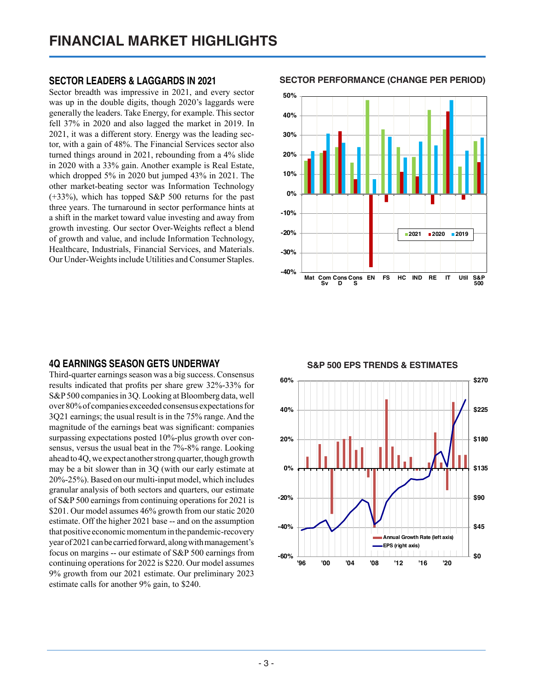### **SECTOR LEADERS & LAGGARDS IN 2021**

Sector breadth was impressive in 2021, and every sector was up in the double digits, though 2020's laggards were generally the leaders. Take Energy, for example. This sector fell 37% in 2020 and also lagged the market in 2019. In 2021, it was a different story. Energy was the leading sector, with a gain of 48%. The Financial Services sector also turned things around in 2021, rebounding from a 4% slide in 2020 with a 33% gain. Another example is Real Estate, which dropped 5% in 2020 but jumped 43% in 2021. The other market-beating sector was Information Technology (+33%), which has topped S&P 500 returns for the past three years. The turnaround in sector performance hints at a shift in the market toward value investing and away from growth investing. Our sector Over-Weights reflect a blend of growth and value, and include Information Technology, Healthcare, Industrials, Financial Services, and Materials. Our Under-Weights include Utilities and Consumer Staples.

**SECTOR PERFORMANCE (CHANGE PER PERIOD) SECTOR PERFORMANCE (Change Per Period)**



## **4Q EARNINGS SEASON GETS UNDERWAY**

Third-quarter earnings season was a big success. Consensus results indicated that profits per share grew 32%-33% for S&P 500 companies in 3Q. Looking at Bloomberg data, well over 80% of companies exceeded consensus expectations for 3Q21 earnings; the usual result is in the 75% range. And the magnitude of the earnings beat was significant: companies surpassing expectations posted 10%-plus growth over consensus, versus the usual beat in the 7%-8% range. Looking ahead to 4Q, we expect another strong quarter, though growth may be a bit slower than in 3Q (with our early estimate at 20%-25%). Based on our multi-input model, which includes granular analysis of both sectors and quarters, our estimate of S&P 500 earnings from continuing operations for 2021 is \$201. Our model assumes 46% growth from our static 2020 estimate. Off the higher 2021 base -- and on the assumption that positive economic momentum in the pandemic-recovery year of 2021 can be carried forward, along with management's focus on margins -- our estimate of S&P 500 earnings from continuing operations for 2022 is \$220. Our model assumes 9% growth from our 2021 estimate. Our preliminary 2023 estimate calls for another 9% gain, to \$240.